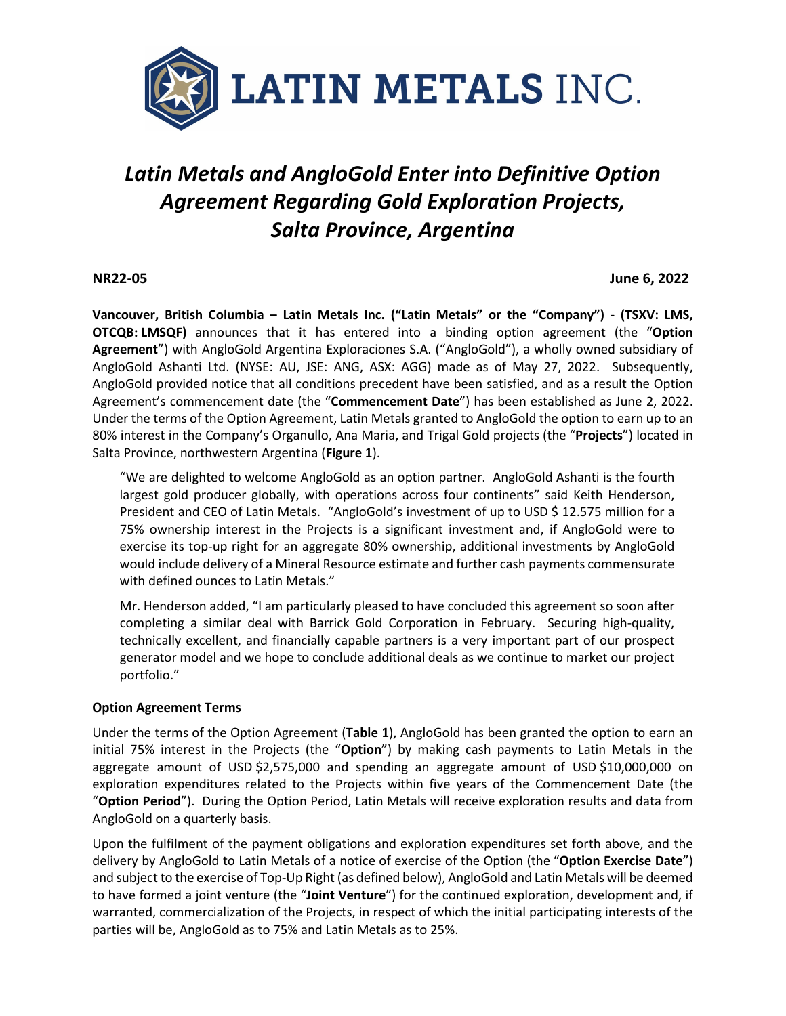

# *Latin Metals and AngloGold Enter into Definitive Option Agreement Regarding Gold Exploration Projects, Salta Province, Argentina*

#### **NR22-05 June 6, 2022**

**Vancouver, British Columbia – Latin Metals Inc. ("Latin Metals" or the "Company") - (TSXV: LMS, OTCQB: LMSQF)** announces that it has entered into a binding option agreement (the "**Option Agreement**") with AngloGold Argentina Exploraciones S.A. ("AngloGold"), a wholly owned subsidiary of AngloGold Ashanti Ltd. (NYSE: AU, JSE: ANG, ASX: AGG) made as of May 27, 2022. Subsequently, AngloGold provided notice that all conditions precedent have been satisfied, and as a result the Option Agreement's commencement date (the "**Commencement Date**") has been established as June 2, 2022. Under the terms of the Option Agreement, Latin Metals granted to AngloGold the option to earn up to an 80% interest in the Company's Organullo, Ana Maria, and Trigal Gold projects (the "**Projects**") located in Salta Province, northwestern Argentina (**Figure 1**).

"We are delighted to welcome AngloGold as an option partner. AngloGold Ashanti is the fourth largest gold producer globally, with operations across four continents" said Keith Henderson, President and CEO of Latin Metals. "AngloGold's investment of up to USD \$ 12.575 million for a 75% ownership interest in the Projects is a significant investment and, if AngloGold were to exercise its top-up right for an aggregate 80% ownership, additional investments by AngloGold would include delivery of a Mineral Resource estimate and further cash payments commensurate with defined ounces to Latin Metals."

Mr. Henderson added, "I am particularly pleased to have concluded this agreement so soon after completing a similar deal with Barrick Gold Corporation in February. Securing high-quality, technically excellent, and financially capable partners is a very important part of our prospect generator model and we hope to conclude additional deals as we continue to market our project portfolio."

#### **Option Agreement Terms**

Under the terms of the Option Agreement (**Table 1**), AngloGold has been granted the option to earn an initial 75% interest in the Projects (the "**Option**") by making cash payments to Latin Metals in the aggregate amount of USD \$2,575,000 and spending an aggregate amount of USD \$10,000,000 on exploration expenditures related to the Projects within five years of the Commencement Date (the "**Option Period**"). During the Option Period, Latin Metals will receive exploration results and data from AngloGold on a quarterly basis.

Upon the fulfilment of the payment obligations and exploration expenditures set forth above, and the delivery by AngloGold to Latin Metals of a notice of exercise of the Option (the "**Option Exercise Date**") and subject to the exercise of Top-Up Right (as defined below), AngloGold and Latin Metals will be deemed to have formed a joint venture (the "**Joint Venture**") for the continued exploration, development and, if warranted, commercialization of the Projects, in respect of which the initial participating interests of the parties will be, AngloGold as to 75% and Latin Metals as to 25%.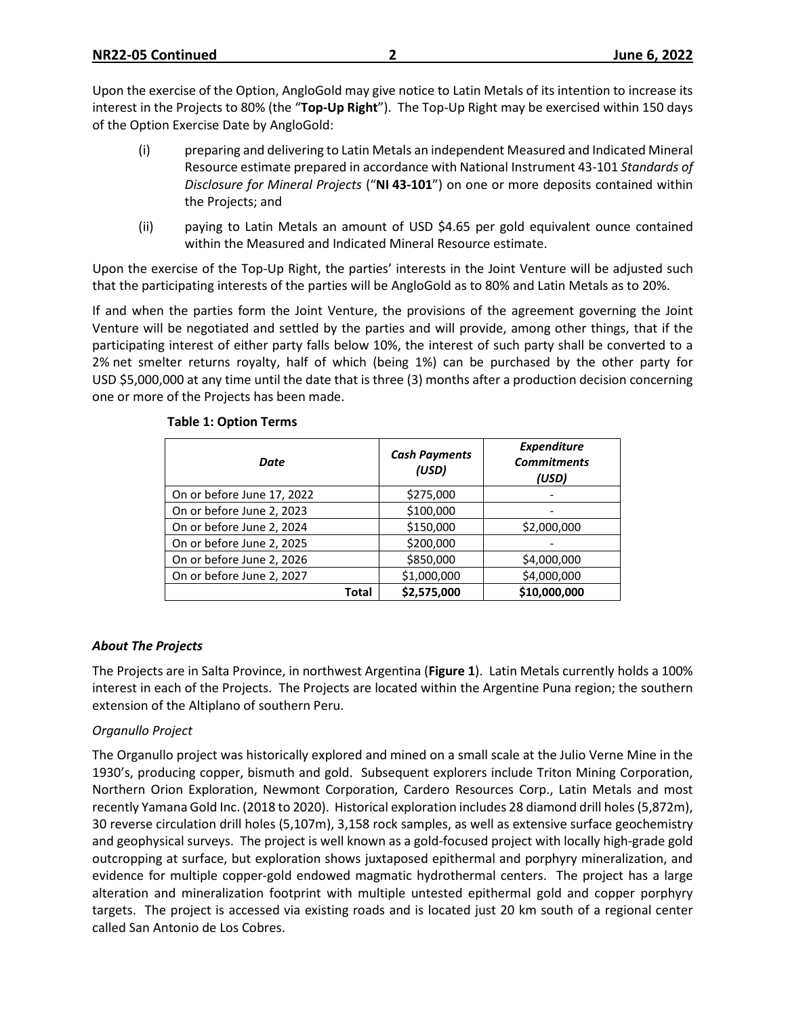Upon the exercise of the Option, AngloGold may give notice to Latin Metals of its intention to increase its interest in the Projects to 80% (the "**Top-Up Right**"). The Top-Up Right may be exercised within 150 days of the Option Exercise Date by AngloGold:

- (i) preparing and delivering to Latin Metals an independent Measured and Indicated Mineral Resource estimate prepared in accordance with National Instrument 43-101 *Standards of Disclosure for Mineral Projects* ("**NI 43-101**") on one or more deposits contained within the Projects; and
- (ii) paying to Latin Metals an amount of USD \$4.65 per gold equivalent ounce contained within the Measured and Indicated Mineral Resource estimate.

Upon the exercise of the Top-Up Right, the parties' interests in the Joint Venture will be adjusted such that the participating interests of the parties will be AngloGold as to 80% and Latin Metals as to 20%.

If and when the parties form the Joint Venture, the provisions of the agreement governing the Joint Venture will be negotiated and settled by the parties and will provide, among other things, that if the participating interest of either party falls below 10%, the interest of such party shall be converted to a 2% net smelter returns royalty, half of which (being 1%) can be purchased by the other party for USD \$5,000,000 at any time until the date that is three (3) months after a production decision concerning one or more of the Projects has been made.

| Date                       | <b>Cash Payments</b><br>(USD) | Expenditure<br><b>Commitments</b><br>(USD) |
|----------------------------|-------------------------------|--------------------------------------------|
| On or before June 17, 2022 | \$275,000                     |                                            |
| On or before June 2, 2023  | \$100,000                     |                                            |
| On or before June 2, 2024  | \$150,000                     | \$2,000,000                                |
| On or before June 2, 2025  | \$200,000                     |                                            |
| On or before June 2, 2026  | \$850,000                     | \$4,000,000                                |
| On or before June 2, 2027  | \$1,000,000                   | \$4,000,000                                |
| Total                      | \$2,575,000                   | \$10,000,000                               |

# **Table 1: Option Terms**

#### *About The Projects*

The Projects are in Salta Province, in northwest Argentina (**Figure 1**). Latin Metals currently holds a 100% interest in each of the Projects. The Projects are located within the Argentine Puna region; the southern extension of the Altiplano of southern Peru.

# *Organullo Project*

The Organullo project was historically explored and mined on a small scale at the Julio Verne Mine in the 1930's, producing copper, bismuth and gold. Subsequent explorers include Triton Mining Corporation, Northern Orion Exploration, Newmont Corporation, Cardero Resources Corp., Latin Metals and most recently Yamana Gold Inc. (2018 to 2020). Historical exploration includes 28 diamond drill holes (5,872m), 30 reverse circulation drill holes (5,107m), 3,158 rock samples, as well as extensive surface geochemistry and geophysical surveys. The project is well known as a gold-focused project with locally high-grade gold outcropping at surface, but exploration shows juxtaposed epithermal and porphyry mineralization, and evidence for multiple copper-gold endowed magmatic hydrothermal centers. The project has a large alteration and mineralization footprint with multiple untested epithermal gold and copper porphyry targets. The project is accessed via existing roads and is located just 20 km south of a regional center called San Antonio de Los Cobres.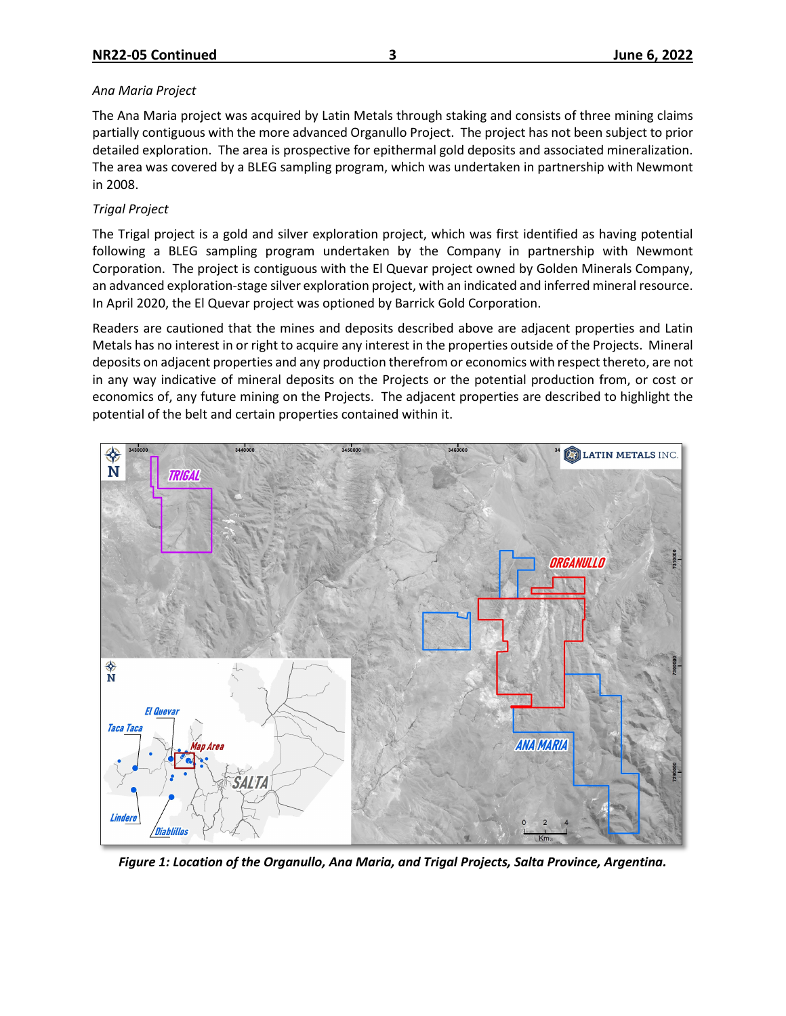# *Ana Maria Project*

The Ana Maria project was acquired by Latin Metals through staking and consists of three mining claims partially contiguous with the more advanced Organullo Project. The project has not been subject to prior detailed exploration. The area is prospective for epithermal gold deposits and associated mineralization. The area was covered by a BLEG sampling program, which was undertaken in partnership with Newmont in 2008.

# *Trigal Project*

The Trigal project is a gold and silver exploration project, which was first identified as having potential following a BLEG sampling program undertaken by the Company in partnership with Newmont Corporation. The project is contiguous with the El Quevar project owned by Golden Minerals Company, an advanced exploration-stage silver exploration project, with an indicated and inferred mineral resource. In April 2020, the El Quevar project was optioned by Barrick Gold Corporation.

Readers are cautioned that the mines and deposits described above are adjacent properties and Latin Metals has no interest in or right to acquire any interest in the properties outside of the Projects. Mineral deposits on adjacent properties and any production therefrom or economics with respect thereto, are not in any way indicative of mineral deposits on the Projects or the potential production from, or cost or economics of, any future mining on the Projects. The adjacent properties are described to highlight the potential of the belt and certain properties contained within it.



*Figure 1: Location of the Organullo, Ana Maria, and Trigal Projects, Salta Province, Argentina.*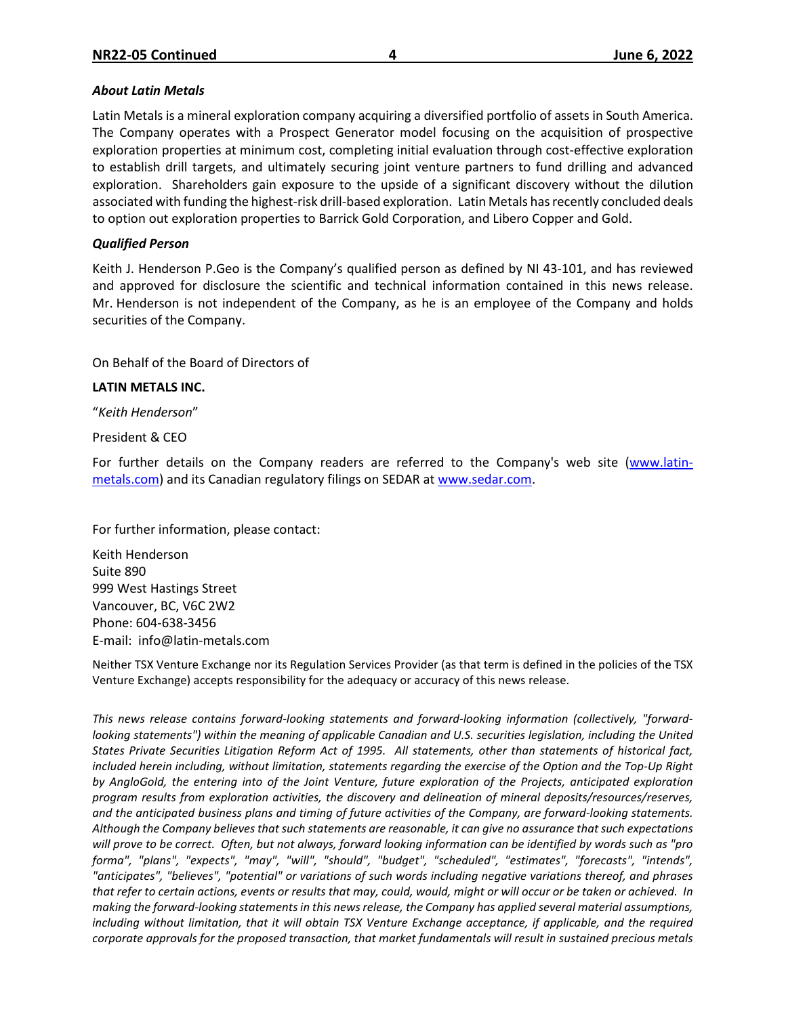#### *About Latin Metals*

Latin Metals is a mineral exploration company acquiring a diversified portfolio of assets in South America. The Company operates with a Prospect Generator model focusing on the acquisition of prospective exploration properties at minimum cost, completing initial evaluation through cost-effective exploration to establish drill targets, and ultimately securing joint venture partners to fund drilling and advanced exploration. Shareholders gain exposure to the upside of a significant discovery without the dilution associated with funding the highest-risk drill-based exploration. Latin Metals has recently concluded deals to option out exploration properties to Barrick Gold Corporation, and Libero Copper and Gold.

# *Qualified Person*

Keith J. Henderson P.Geo is the Company's qualified person as defined by NI 43-101, and has reviewed and approved for disclosure the scientific and technical information contained in this news release. Mr. Henderson is not independent of the Company, as he is an employee of the Company and holds securities of the Company.

On Behalf of the Board of Directors of

# **LATIN METALS INC.**

"*Keith Henderson*"

President & CEO

For further details on the Company readers are referred to the Company's web site [\(www.latin](http://www.centeneramining.com/)[metals.com\)](http://www.centeneramining.com/) and its Canadian regulatory filings on SEDAR at [www.sedar.com.](http://www.sedar.com/)

For further information, please contact:

Keith Henderson Suite 890 999 West Hastings Street Vancouver, BC, V6C 2W2 Phone: 604-638-3456 E-mail: info@latin-metals.com

Neither TSX Venture Exchange nor its Regulation Services Provider (as that term is defined in the policies of the TSX Venture Exchange) accepts responsibility for the adequacy or accuracy of this news release.

*This news release contains forward-looking statements and forward-looking information (collectively, "forwardlooking statements") within the meaning of applicable Canadian and U.S. securities legislation, including the United States Private Securities Litigation Reform Act of 1995. All statements, other than statements of historical fact, included herein including, without limitation, statements regarding the exercise of the Option and the Top-Up Right by AngloGold, the entering into of the Joint Venture, future exploration of the Projects, anticipated exploration program results from exploration activities, the discovery and delineation of mineral deposits/resources/reserves, and the anticipated business plans and timing of future activities of the Company, are forward-looking statements. Although the Company believes that such statements are reasonable, it can give no assurance that such expectations will prove to be correct. Often, but not always, forward looking information can be identified by words such as "pro forma", "plans", "expects", "may", "will", "should", "budget", "scheduled", "estimates", "forecasts", "intends", "anticipates", "believes", "potential" or variations of such words including negative variations thereof, and phrases that refer to certain actions, events or results that may, could, would, might or will occur or be taken or achieved. In making the forward-looking statements in this news release, the Company has applied several material assumptions, including without limitation, that it will obtain TSX Venture Exchange acceptance, if applicable, and the required corporate approvals for the proposed transaction, that market fundamentals will result in sustained precious metals*